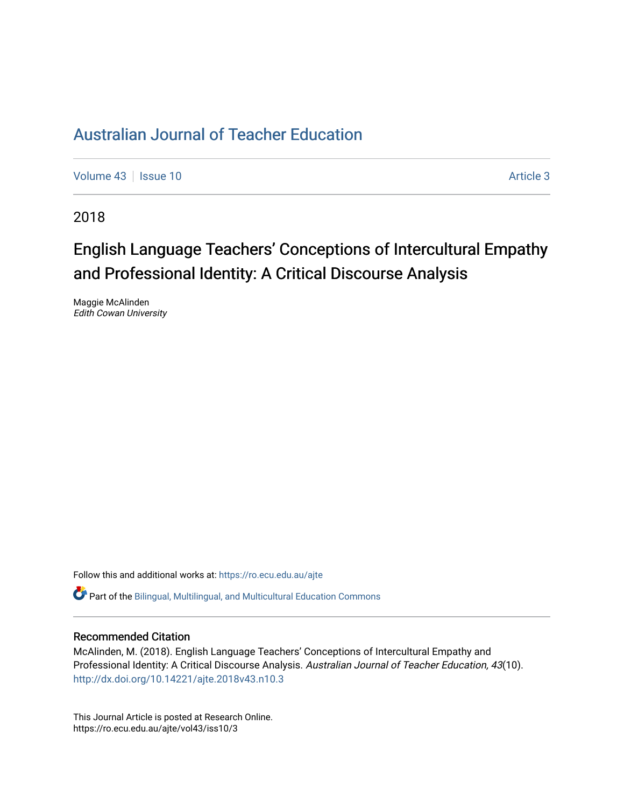[Volume 43](https://ro.ecu.edu.au/ajte/vol43) | [Issue 10](https://ro.ecu.edu.au/ajte/vol43/iss10) Article 3

2018

# English Language Teachers' Conceptions of Intercultural Empathy and Professional Identity: A Critical Discourse Analysis

Maggie McAlinden Edith Cowan University

Follow this and additional works at: [https://ro.ecu.edu.au/ajte](https://ro.ecu.edu.au/ajte?utm_source=ro.ecu.edu.au%2Fajte%2Fvol43%2Fiss10%2F3&utm_medium=PDF&utm_campaign=PDFCoverPages) 

Part of the [Bilingual, Multilingual, and Multicultural Education Commons](http://network.bepress.com/hgg/discipline/785?utm_source=ro.ecu.edu.au%2Fajte%2Fvol43%2Fiss10%2F3&utm_medium=PDF&utm_campaign=PDFCoverPages) 

### Recommended Citation

McAlinden, M. (2018). English Language Teachers' Conceptions of Intercultural Empathy and Professional Identity: A Critical Discourse Analysis. Australian Journal of Teacher Education, 43(10). <http://dx.doi.org/10.14221/ajte.2018v43.n10.3>

This Journal Article is posted at Research Online. https://ro.ecu.edu.au/ajte/vol43/iss10/3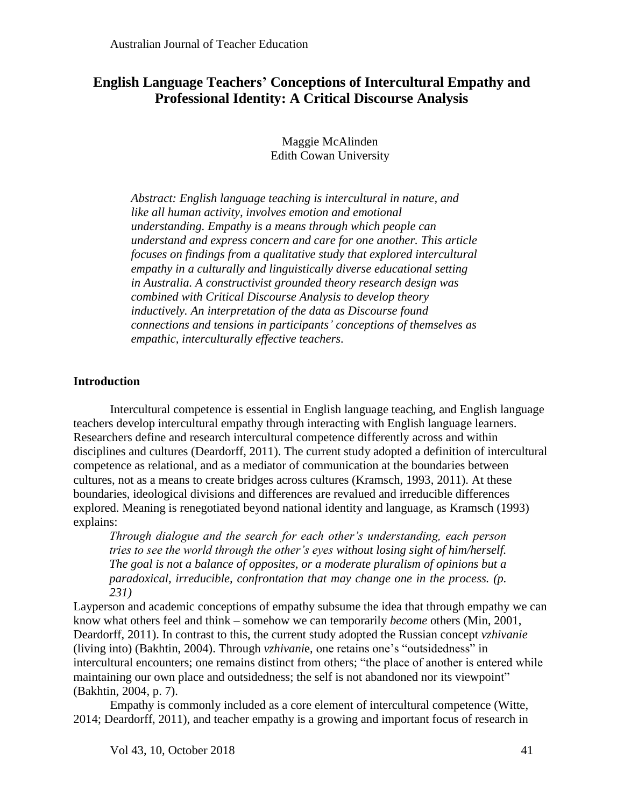## **English Language Teachers' Conceptions of Intercultural Empathy and Professional Identity: A Critical Discourse Analysis**

Maggie McAlinden Edith Cowan University

*Abstract: English language teaching is intercultural in nature, and like all human activity, involves emotion and emotional understanding. Empathy is a means through which people can understand and express concern and care for one another. This article focuses on findings from a qualitative study that explored intercultural empathy in a culturally and linguistically diverse educational setting in Australia. A constructivist grounded theory research design was combined with Critical Discourse Analysis to develop theory inductively. An interpretation of the data as Discourse found connections and tensions in participants' conceptions of themselves as empathic, interculturally effective teachers.*

## **Introduction**

Intercultural competence is essential in English language teaching, and English language teachers develop intercultural empathy through interacting with English language learners. Researchers define and research intercultural competence differently across and within disciplines and cultures (Deardorff, 2011). The current study adopted a definition of intercultural competence as relational, and as a mediator of communication at the boundaries between cultures, not as a means to create bridges across cultures (Kramsch, 1993, 2011). At these boundaries, ideological divisions and differences are revalued and irreducible differences explored. Meaning is renegotiated beyond national identity and language, as Kramsch (1993) explains:

*Through dialogue and the search for each other's understanding, each person tries to see the world through the other's eyes without losing sight of him/herself. The goal is not a balance of opposites, or a moderate pluralism of opinions but a paradoxical, irreducible, confrontation that may change one in the process. (p. 231)*

Layperson and academic conceptions of empathy subsume the idea that through empathy we can know what others feel and think – somehow we can temporarily *become* others (Min, 2001, Deardorff, 2011). In contrast to this, the current study adopted the Russian concept *vzhivanie* (living into) (Bakhtin, 2004). Through *vzhivani*e, one retains one's "outsidedness" in intercultural encounters; one remains distinct from others; "the place of another is entered while maintaining our own place and outsidedness; the self is not abandoned nor its viewpoint" (Bakhtin, 2004, p. 7).

Empathy is commonly included as a core element of intercultural competence (Witte, 2014; Deardorff, 2011), and teacher empathy is a growing and important focus of research in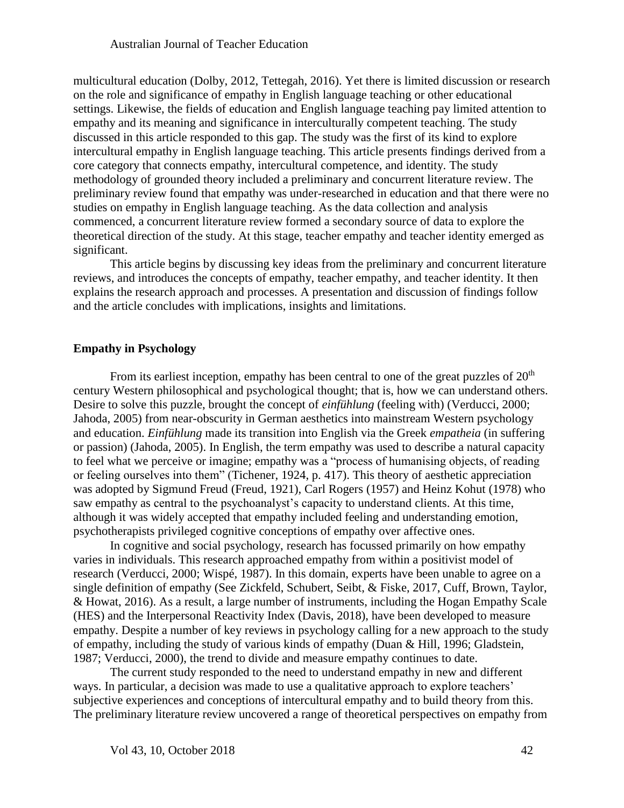multicultural education (Dolby, 2012, Tettegah, 2016). Yet there is limited discussion or research on the role and significance of empathy in English language teaching or other educational settings. Likewise, the fields of education and English language teaching pay limited attention to empathy and its meaning and significance in interculturally competent teaching. The study discussed in this article responded to this gap. The study was the first of its kind to explore intercultural empathy in English language teaching. This article presents findings derived from a core category that connects empathy, intercultural competence, and identity. The study methodology of grounded theory included a preliminary and concurrent literature review. The preliminary review found that empathy was under-researched in education and that there were no studies on empathy in English language teaching. As the data collection and analysis commenced, a concurrent literature review formed a secondary source of data to explore the theoretical direction of the study. At this stage, teacher empathy and teacher identity emerged as significant.

This article begins by discussing key ideas from the preliminary and concurrent literature reviews, and introduces the concepts of empathy, teacher empathy, and teacher identity. It then explains the research approach and processes. A presentation and discussion of findings follow and the article concludes with implications, insights and limitations.

## **Empathy in Psychology**

From its earliest inception, empathy has been central to one of the great puzzles of  $20<sup>th</sup>$ century Western philosophical and psychological thought; that is, how we can understand others. Desire to solve this puzzle, brought the concept of *einfühlung* (feeling with) (Verducci, 2000; Jahoda, 2005) from near-obscurity in German aesthetics into mainstream Western psychology and education. *Einfühlung* made its transition into English via the Greek *empatheia* (in suffering or passion) (Jahoda, 2005). In English, the term empathy was used to describe a natural capacity to feel what we perceive or imagine; empathy was a "process of humanising objects, of reading or feeling ourselves into them" (Tichener, 1924, p. 417). This theory of aesthetic appreciation was adopted by Sigmund Freud (Freud, 1921), Carl Rogers (1957) and Heinz Kohut (1978) who saw empathy as central to the psychoanalyst's capacity to understand clients. At this time, although it was widely accepted that empathy included feeling and understanding emotion, psychotherapists privileged cognitive conceptions of empathy over affective ones.

In cognitive and social psychology, research has focussed primarily on how empathy varies in individuals. This research approached empathy from within a positivist model of research (Verducci, 2000; Wispé, 1987). In this domain, experts have been unable to agree on a single definition of empathy (See Zickfeld, Schubert, Seibt, & Fiske, 2017, Cuff, Brown, Taylor, & Howat, 2016). As a result, a large number of instruments, including the Hogan Empathy Scale (HES) and the Interpersonal Reactivity Index (Davis, 2018), have been developed to measure empathy. Despite a number of key reviews in psychology calling for a new approach to the study of empathy, including the study of various kinds of empathy (Duan & Hill, 1996; Gladstein, 1987; Verducci, 2000), the trend to divide and measure empathy continues to date.

The current study responded to the need to understand empathy in new and different ways. In particular, a decision was made to use a qualitative approach to explore teachers' subjective experiences and conceptions of intercultural empathy and to build theory from this. The preliminary literature review uncovered a range of theoretical perspectives on empathy from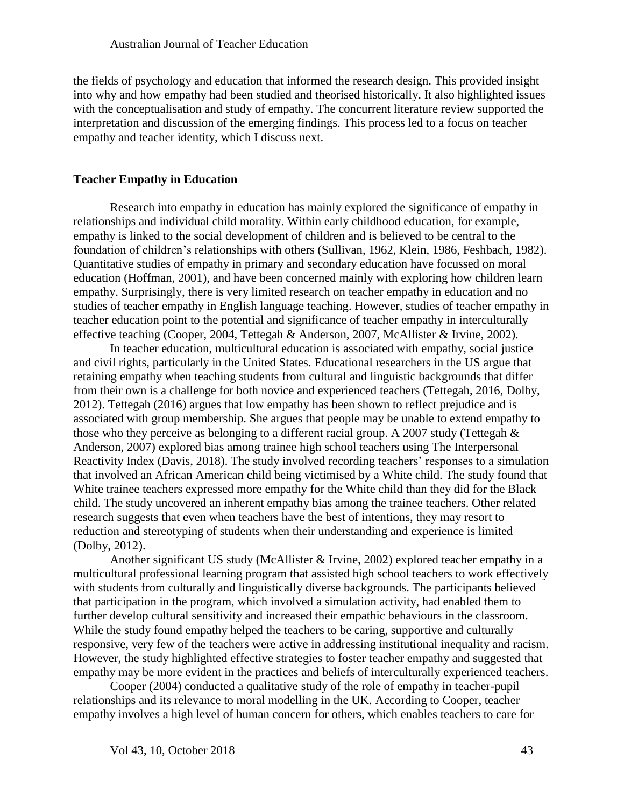the fields of psychology and education that informed the research design. This provided insight into why and how empathy had been studied and theorised historically. It also highlighted issues with the conceptualisation and study of empathy. The concurrent literature review supported the interpretation and discussion of the emerging findings. This process led to a focus on teacher empathy and teacher identity, which I discuss next.

## **Teacher Empathy in Education**

Research into empathy in education has mainly explored the significance of empathy in relationships and individual child morality. Within early childhood education, for example, empathy is linked to the social development of children and is believed to be central to the foundation of children's relationships with others (Sullivan, 1962, Klein, 1986, Feshbach, 1982). Quantitative studies of empathy in primary and secondary education have focussed on moral education (Hoffman, 2001), and have been concerned mainly with exploring how children learn empathy. Surprisingly, there is very limited research on teacher empathy in education and no studies of teacher empathy in English language teaching. However, studies of teacher empathy in teacher education point to the potential and significance of teacher empathy in interculturally effective teaching (Cooper, 2004, Tettegah & Anderson, 2007, McAllister & Irvine, 2002).

In teacher education, multicultural education is associated with empathy, social justice and civil rights, particularly in the United States. Educational researchers in the US argue that retaining empathy when teaching students from cultural and linguistic backgrounds that differ from their own is a challenge for both novice and experienced teachers (Tettegah, 2016, Dolby, 2012). Tettegah (2016) argues that low empathy has been shown to reflect prejudice and is associated with group membership. She argues that people may be unable to extend empathy to those who they perceive as belonging to a different racial group. A 2007 study (Tettegah & Anderson, 2007) explored bias among trainee high school teachers using The Interpersonal Reactivity Index (Davis, 2018). The study involved recording teachers' responses to a simulation that involved an African American child being victimised by a White child. The study found that White trainee teachers expressed more empathy for the White child than they did for the Black child. The study uncovered an inherent empathy bias among the trainee teachers. Other related research suggests that even when teachers have the best of intentions, they may resort to reduction and stereotyping of students when their understanding and experience is limited (Dolby, 2012).

Another significant US study (McAllister & Irvine, 2002) explored teacher empathy in a multicultural professional learning program that assisted high school teachers to work effectively with students from culturally and linguistically diverse backgrounds. The participants believed that participation in the program, which involved a simulation activity, had enabled them to further develop cultural sensitivity and increased their empathic behaviours in the classroom. While the study found empathy helped the teachers to be caring, supportive and culturally responsive, very few of the teachers were active in addressing institutional inequality and racism. However, the study highlighted effective strategies to foster teacher empathy and suggested that empathy may be more evident in the practices and beliefs of interculturally experienced teachers.

Cooper (2004) conducted a qualitative study of the role of empathy in teacher-pupil relationships and its relevance to moral modelling in the UK. According to Cooper, teacher empathy involves a high level of human concern for others, which enables teachers to care for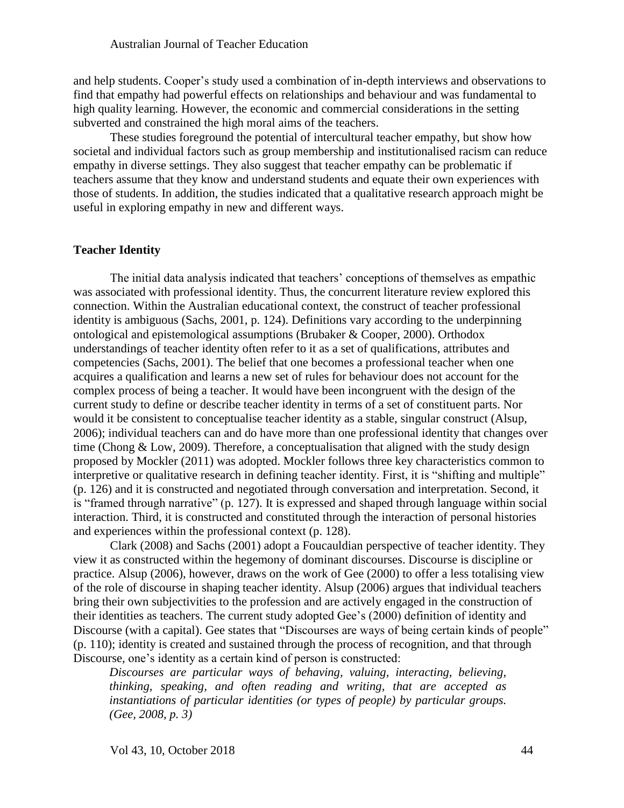and help students. Cooper's study used a combination of in-depth interviews and observations to find that empathy had powerful effects on relationships and behaviour and was fundamental to high quality learning. However, the economic and commercial considerations in the setting subverted and constrained the high moral aims of the teachers.

These studies foreground the potential of intercultural teacher empathy, but show how societal and individual factors such as group membership and institutionalised racism can reduce empathy in diverse settings. They also suggest that teacher empathy can be problematic if teachers assume that they know and understand students and equate their own experiences with those of students. In addition, the studies indicated that a qualitative research approach might be useful in exploring empathy in new and different ways.

#### **Teacher Identity**

The initial data analysis indicated that teachers' conceptions of themselves as empathic was associated with professional identity. Thus, the concurrent literature review explored this connection. Within the Australian educational context, the construct of teacher professional identity is ambiguous (Sachs, 2001, p. 124). Definitions vary according to the underpinning ontological and epistemological assumptions (Brubaker & Cooper, 2000). Orthodox understandings of teacher identity often refer to it as a set of qualifications, attributes and competencies (Sachs, 2001). The belief that one becomes a professional teacher when one acquires a qualification and learns a new set of rules for behaviour does not account for the complex process of being a teacher. It would have been incongruent with the design of the current study to define or describe teacher identity in terms of a set of constituent parts. Nor would it be consistent to conceptualise teacher identity as a stable, singular construct (Alsup, 2006); individual teachers can and do have more than one professional identity that changes over time (Chong & Low, 2009). Therefore, a conceptualisation that aligned with the study design proposed by Mockler (2011) was adopted. Mockler follows three key characteristics common to interpretive or qualitative research in defining teacher identity. First, it is "shifting and multiple" (p. 126) and it is constructed and negotiated through conversation and interpretation. Second, it is "framed through narrative" (p. 127). It is expressed and shaped through language within social interaction. Third, it is constructed and constituted through the interaction of personal histories and experiences within the professional context (p. 128).

Clark (2008) and Sachs (2001) adopt a Foucauldian perspective of teacher identity. They view it as constructed within the hegemony of dominant discourses. Discourse is discipline or practice. Alsup (2006), however, draws on the work of Gee (2000) to offer a less totalising view of the role of discourse in shaping teacher identity. Alsup (2006) argues that individual teachers bring their own subjectivities to the profession and are actively engaged in the construction of their identities as teachers. The current study adopted Gee's (2000) definition of identity and Discourse (with a capital). Gee states that "Discourses are ways of being certain kinds of people" (p. 110); identity is created and sustained through the process of recognition, and that through Discourse, one's identity as a certain kind of person is constructed:

*Discourses are particular ways of behaving, valuing, interacting, believing, thinking, speaking, and often reading and writing, that are accepted as instantiations of particular identities (or types of people) by particular groups. (Gee, 2008, p. 3)*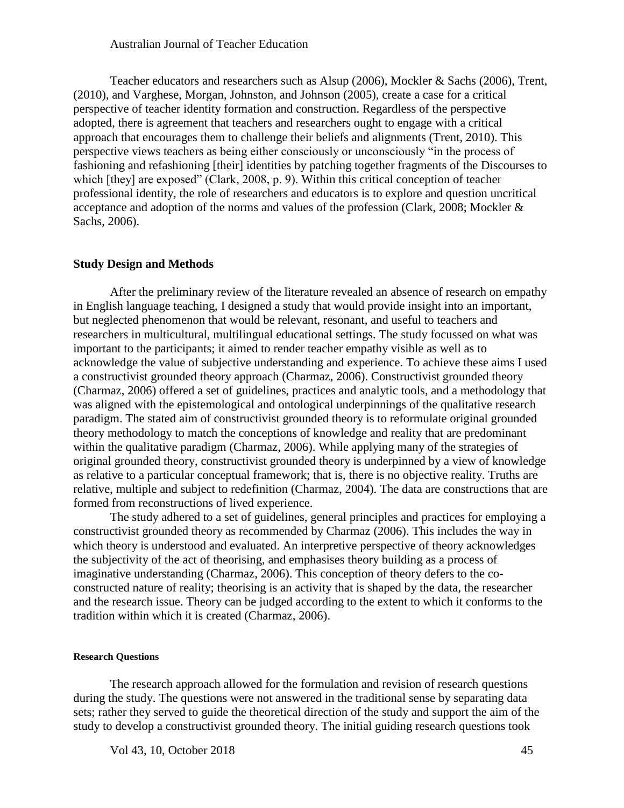Teacher educators and researchers such as Alsup (2006), Mockler & Sachs (2006), Trent, (2010), and Varghese, Morgan, Johnston, and Johnson (2005), create a case for a critical perspective of teacher identity formation and construction. Regardless of the perspective adopted, there is agreement that teachers and researchers ought to engage with a critical approach that encourages them to challenge their beliefs and alignments (Trent, 2010). This perspective views teachers as being either consciously or unconsciously "in the process of fashioning and refashioning [their] identities by patching together fragments of the Discourses to which [they] are exposed" (Clark, 2008, p. 9). Within this critical conception of teacher professional identity, the role of researchers and educators is to explore and question uncritical acceptance and adoption of the norms and values of the profession (Clark, 2008; Mockler & Sachs, 2006).

#### **Study Design and Methods**

After the preliminary review of the literature revealed an absence of research on empathy in English language teaching, I designed a study that would provide insight into an important, but neglected phenomenon that would be relevant, resonant, and useful to teachers and researchers in multicultural, multilingual educational settings. The study focussed on what was important to the participants; it aimed to render teacher empathy visible as well as to acknowledge the value of subjective understanding and experience. To achieve these aims I used a constructivist grounded theory approach (Charmaz, 2006). Constructivist grounded theory (Charmaz, 2006) offered a set of guidelines, practices and analytic tools, and a methodology that was aligned with the epistemological and ontological underpinnings of the qualitative research paradigm. The stated aim of constructivist grounded theory is to reformulate original grounded theory methodology to match the conceptions of knowledge and reality that are predominant within the qualitative paradigm (Charmaz, 2006). While applying many of the strategies of original grounded theory, constructivist grounded theory is underpinned by a view of knowledge as relative to a particular conceptual framework; that is, there is no objective reality. Truths are relative, multiple and subject to redefinition (Charmaz, 2004). The data are constructions that are formed from reconstructions of lived experience.

The study adhered to a set of guidelines, general principles and practices for employing a constructivist grounded theory as recommended by Charmaz (2006). This includes the way in which theory is understood and evaluated. An interpretive perspective of theory acknowledges the subjectivity of the act of theorising, and emphasises theory building as a process of imaginative understanding (Charmaz, 2006). This conception of theory defers to the coconstructed nature of reality; theorising is an activity that is shaped by the data, the researcher and the research issue. Theory can be judged according to the extent to which it conforms to the tradition within which it is created (Charmaz, 2006).

#### **Research Questions**

The research approach allowed for the formulation and revision of research questions during the study. The questions were not answered in the traditional sense by separating data sets; rather they served to guide the theoretical direction of the study and support the aim of the study to develop a constructivist grounded theory. The initial guiding research questions took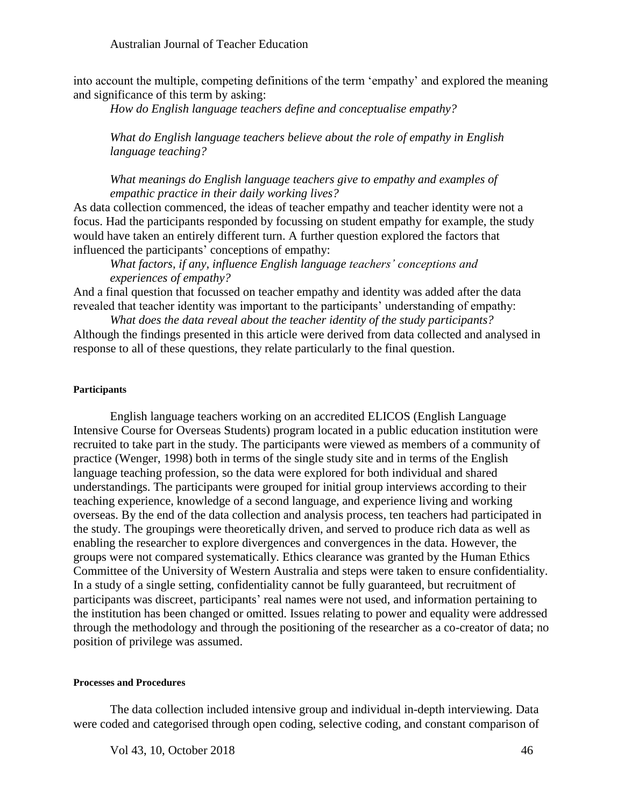into account the multiple, competing definitions of the term 'empathy' and explored the meaning and significance of this term by asking:

*How do English language teachers define and conceptualise empathy?*

*What do English language teachers believe about the role of empathy in English language teaching?*

*What meanings do English language teachers give to empathy and examples of empathic practice in their daily working lives?*

As data collection commenced, the ideas of teacher empathy and teacher identity were not a focus. Had the participants responded by focussing on student empathy for example, the study would have taken an entirely different turn. A further question explored the factors that influenced the participants' conceptions of empathy:

*What factors, if any, influence English language teachers' conceptions and experiences of empathy?*

And a final question that focussed on teacher empathy and identity was added after the data revealed that teacher identity was important to the participants' understanding of empathy:

*What does the data reveal about the teacher identity of the study participants?* Although the findings presented in this article were derived from data collected and analysed in response to all of these questions, they relate particularly to the final question.

#### **Participants**

English language teachers working on an accredited ELICOS (English Language Intensive Course for Overseas Students) program located in a public education institution were recruited to take part in the study. The participants were viewed as members of a community of practice (Wenger, 1998) both in terms of the single study site and in terms of the English language teaching profession, so the data were explored for both individual and shared understandings. The participants were grouped for initial group interviews according to their teaching experience, knowledge of a second language, and experience living and working overseas. By the end of the data collection and analysis process, ten teachers had participated in the study. The groupings were theoretically driven, and served to produce rich data as well as enabling the researcher to explore divergences and convergences in the data. However, the groups were not compared systematically. Ethics clearance was granted by the Human Ethics Committee of the University of Western Australia and steps were taken to ensure confidentiality. In a study of a single setting, confidentiality cannot be fully guaranteed, but recruitment of participants was discreet, participants' real names were not used, and information pertaining to the institution has been changed or omitted. Issues relating to power and equality were addressed through the methodology and through the positioning of the researcher as a co-creator of data; no position of privilege was assumed.

#### **Processes and Procedures**

The data collection included intensive group and individual in-depth interviewing. Data were coded and categorised through open coding, selective coding, and constant comparison of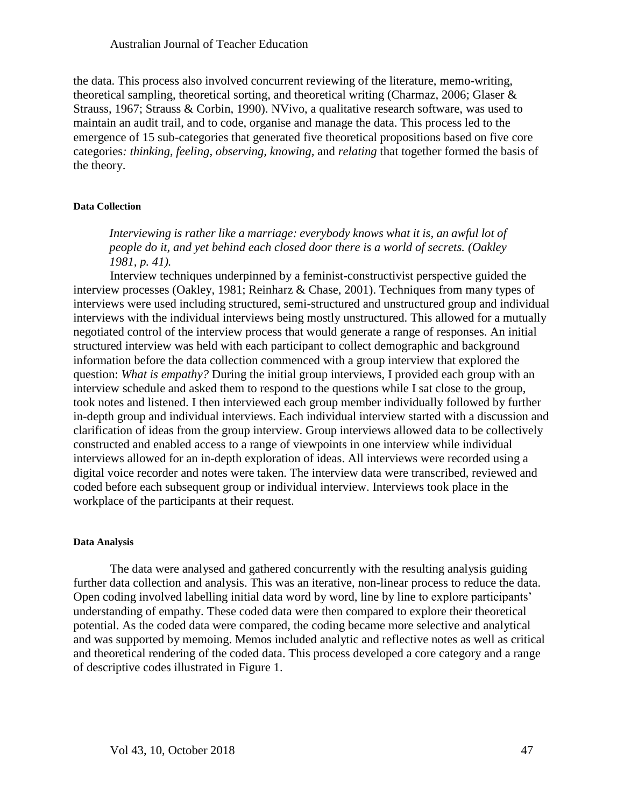the data. This process also involved concurrent reviewing of the literature, memo-writing, theoretical sampling, theoretical sorting, and theoretical writing (Charmaz, 2006; Glaser & Strauss, 1967; Strauss & Corbin, 1990). NVivo, a qualitative research software, was used to maintain an audit trail, and to code, organise and manage the data. This process led to the emergence of 15 sub-categories that generated five theoretical propositions based on five core categories*: thinking, feeling, observing, knowing,* and *relating* that together formed the basis of the theory.

#### **Data Collection**

*Interviewing is rather like a marriage: everybody knows what it is, an awful lot of people do it, and yet behind each closed door there is a world of secrets. (Oakley 1981, p. 41).*

Interview techniques underpinned by a feminist-constructivist perspective guided the interview processes (Oakley, 1981; Reinharz & Chase, 2001). Techniques from many types of interviews were used including structured, semi-structured and unstructured group and individual interviews with the individual interviews being mostly unstructured. This allowed for a mutually negotiated control of the interview process that would generate a range of responses. An initial structured interview was held with each participant to collect demographic and background information before the data collection commenced with a group interview that explored the question: *What is empathy?* During the initial group interviews, I provided each group with an interview schedule and asked them to respond to the questions while I sat close to the group, took notes and listened. I then interviewed each group member individually followed by further in-depth group and individual interviews. Each individual interview started with a discussion and clarification of ideas from the group interview. Group interviews allowed data to be collectively constructed and enabled access to a range of viewpoints in one interview while individual interviews allowed for an in-depth exploration of ideas. All interviews were recorded using a digital voice recorder and notes were taken. The interview data were transcribed, reviewed and coded before each subsequent group or individual interview. Interviews took place in the workplace of the participants at their request.

#### **Data Analysis**

The data were analysed and gathered concurrently with the resulting analysis guiding further data collection and analysis. This was an iterative, non-linear process to reduce the data. Open coding involved labelling initial data word by word, line by line to explore participants' understanding of empathy. These coded data were then compared to explore their theoretical potential. As the coded data were compared, the coding became more selective and analytical and was supported by memoing. Memos included analytic and reflective notes as well as critical and theoretical rendering of the coded data. This process developed a core category and a range of descriptive codes illustrated in Figure 1.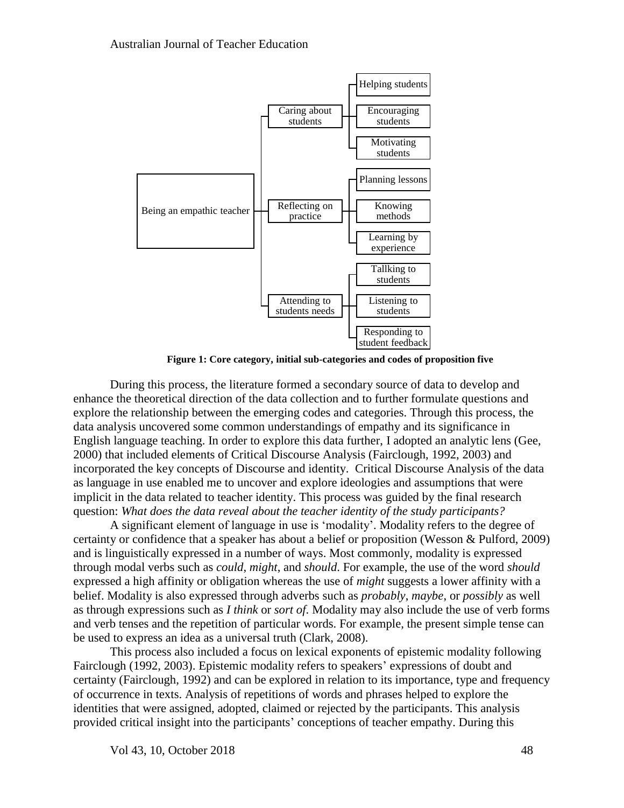

**Figure 1: Core category, initial sub-categories and codes of proposition five**

During this process, the literature formed a secondary source of data to develop and enhance the theoretical direction of the data collection and to further formulate questions and explore the relationship between the emerging codes and categories. Through this process, the data analysis uncovered some common understandings of empathy and its significance in English language teaching. In order to explore this data further, I adopted an analytic lens (Gee, 2000) that included elements of Critical Discourse Analysis (Fairclough, 1992, 2003) and incorporated the key concepts of Discourse and identity. Critical Discourse Analysis of the data as language in use enabled me to uncover and explore ideologies and assumptions that were implicit in the data related to teacher identity. This process was guided by the final research question: *What does the data reveal about the teacher identity of the study participants?*

A significant element of language in use is 'modality'. Modality refers to the degree of certainty or confidence that a speaker has about a belief or proposition (Wesson & Pulford, 2009) and is linguistically expressed in a number of ways. Most commonly, modality is expressed through modal verbs such as *could*, *might*, and *should*. For example, the use of the word *should* expressed a high affinity or obligation whereas the use of *might* suggests a lower affinity with a belief. Modality is also expressed through adverbs such as *probably*, *maybe*, or *possibly* as well as through expressions such as *I think* or *sort of*. Modality may also include the use of verb forms and verb tenses and the repetition of particular words. For example, the present simple tense can be used to express an idea as a universal truth (Clark, 2008).

This process also included a focus on lexical exponents of epistemic modality following Fairclough (1992, 2003). Epistemic modality refers to speakers' expressions of doubt and certainty (Fairclough, 1992) and can be explored in relation to its importance, type and frequency of occurrence in texts. Analysis of repetitions of words and phrases helped to explore the identities that were assigned, adopted, claimed or rejected by the participants. This analysis provided critical insight into the participants' conceptions of teacher empathy. During this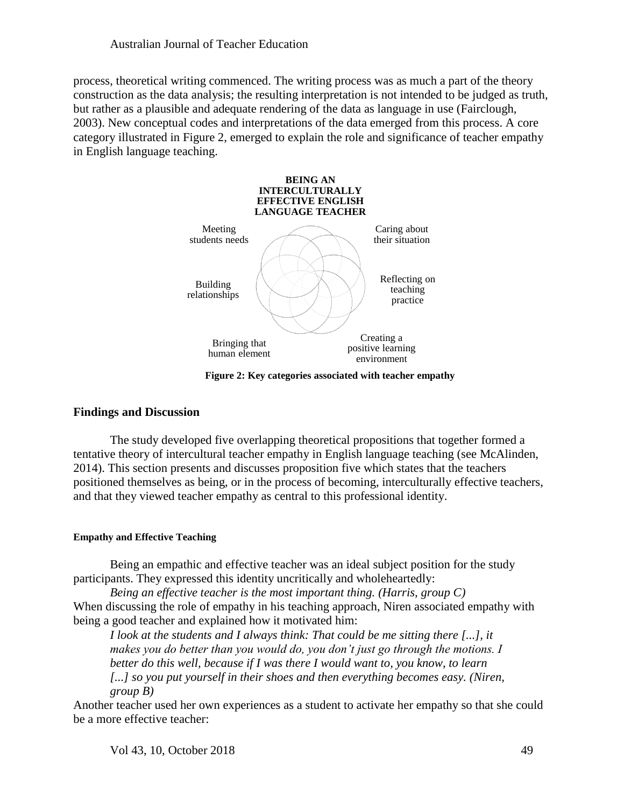process, theoretical writing commenced. The writing process was as much a part of the theory construction as the data analysis; the resulting interpretation is not intended to be judged as truth, but rather as a plausible and adequate rendering of the data as language in use (Fairclough, 2003). New conceptual codes and interpretations of the data emerged from this process. A core category illustrated in Figure 2, emerged to explain the role and significance of teacher empathy in English language teaching.



**Figure 2: Key categories associated with teacher empathy**

## **Findings and Discussion**

The study developed five overlapping theoretical propositions that together formed a tentative theory of intercultural teacher empathy in English language teaching (see McAlinden, 2014). This section presents and discusses proposition five which states that the teachers positioned themselves as being, or in the process of becoming, interculturally effective teachers, and that they viewed teacher empathy as central to this professional identity.

## **Empathy and Effective Teaching**

Being an empathic and effective teacher was an ideal subject position for the study participants. They expressed this identity uncritically and wholeheartedly:

*Being an effective teacher is the most important thing. (Harris, group C)* When discussing the role of empathy in his teaching approach, Niren associated empathy with being a good teacher and explained how it motivated him:

*I look at the students and I always think: That could be me sitting there [...], it makes you do better than you would do, you don't just go through the motions. I better do this well, because if I was there I would want to, you know, to learn*  [...] so you put yourself in their shoes and then everything becomes easy. (Niren, *group B)*

Another teacher used her own experiences as a student to activate her empathy so that she could be a more effective teacher: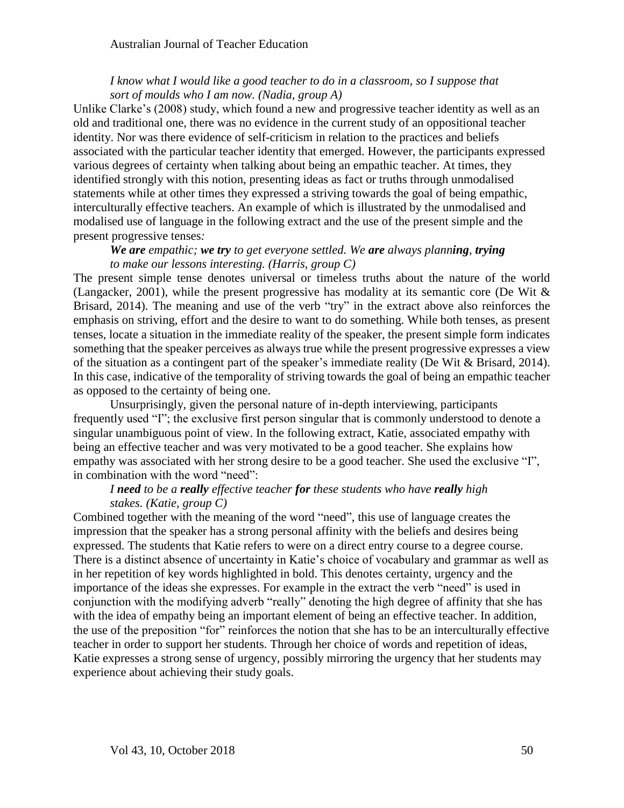## *I know what I would like a good teacher to do in a classroom, so I suppose that sort of moulds who I am now. (Nadia, group A)*

Unlike Clarke's (2008) study, which found a new and progressive teacher identity as well as an old and traditional one, there was no evidence in the current study of an oppositional teacher identity. Nor was there evidence of self-criticism in relation to the practices and beliefs associated with the particular teacher identity that emerged. However, the participants expressed various degrees of certainty when talking about being an empathic teacher. At times, they identified strongly with this notion, presenting ideas as fact or truths through unmodalised statements while at other times they expressed a striving towards the goal of being empathic, interculturally effective teachers. An example of which is illustrated by the unmodalised and modalised use of language in the following extract and the use of the present simple and the present progressive tenses*:*

## *We are empathic; we try to get everyone settled. We are always planning, trying to make our lessons interesting. (Harris, group C)*

The present simple tense denotes universal or timeless truths about the nature of the world (Langacker, 2001), while the present progressive has modality at its semantic core (De Wit & Brisard, 2014). The meaning and use of the verb "try" in the extract above also reinforces the emphasis on striving, effort and the desire to want to do something. While both tenses, as present tenses, locate a situation in the immediate reality of the speaker, the present simple form indicates something that the speaker perceives as always true while the present progressive expresses a view of the situation as a contingent part of the speaker's immediate reality (De Wit & Brisard, 2014). In this case, indicative of the temporality of striving towards the goal of being an empathic teacher as opposed to the certainty of being one.

Unsurprisingly, given the personal nature of in-depth interviewing, participants frequently used "I"; the exclusive first person singular that is commonly understood to denote a singular unambiguous point of view. In the following extract, Katie, associated empathy with being an effective teacher and was very motivated to be a good teacher. She explains how empathy was associated with her strong desire to be a good teacher. She used the exclusive "I", in combination with the word "need":

## *I need to be a really effective teacher for these students who have really high stakes. (Katie, group C)*

Combined together with the meaning of the word "need", this use of language creates the impression that the speaker has a strong personal affinity with the beliefs and desires being expressed. The students that Katie refers to were on a direct entry course to a degree course. There is a distinct absence of uncertainty in Katie's choice of vocabulary and grammar as well as in her repetition of key words highlighted in bold. This denotes certainty, urgency and the importance of the ideas she expresses. For example in the extract the verb "need" is used in conjunction with the modifying adverb "really" denoting the high degree of affinity that she has with the idea of empathy being an important element of being an effective teacher. In addition, the use of the preposition "for" reinforces the notion that she has to be an interculturally effective teacher in order to support her students. Through her choice of words and repetition of ideas, Katie expresses a strong sense of urgency, possibly mirroring the urgency that her students may experience about achieving their study goals.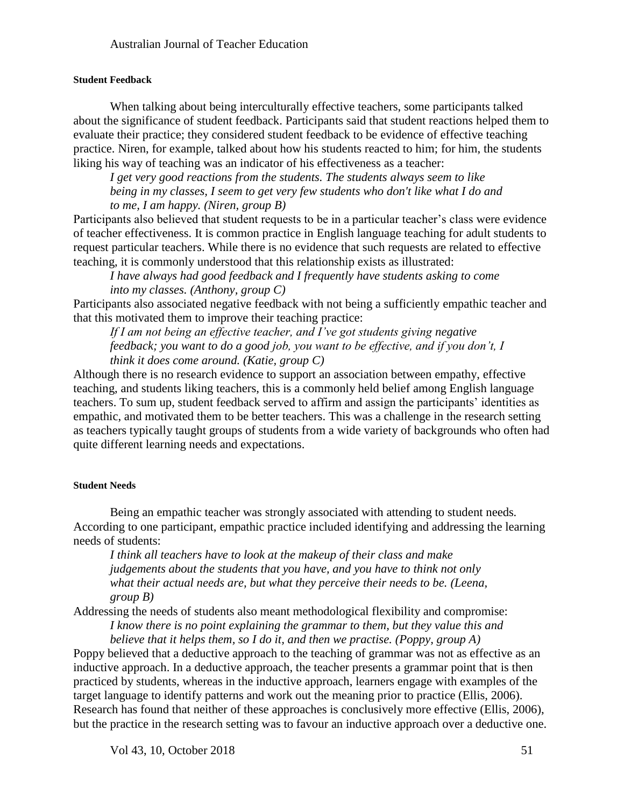### **Student Feedback**

When talking about being interculturally effective teachers, some participants talked about the significance of student feedback. Participants said that student reactions helped them to evaluate their practice; they considered student feedback to be evidence of effective teaching practice. Niren, for example, talked about how his students reacted to him; for him, the students liking his way of teaching was an indicator of his effectiveness as a teacher:

*I get very good reactions from the students. The students always seem to like being in my classes, I seem to get very few students who don't like what I do and to me, I am happy. (Niren, group B)*

Participants also believed that student requests to be in a particular teacher's class were evidence of teacher effectiveness. It is common practice in English language teaching for adult students to request particular teachers. While there is no evidence that such requests are related to effective teaching, it is commonly understood that this relationship exists as illustrated:

*I have always had good feedback and I frequently have students asking to come into my classes. (Anthony, group C)*

Participants also associated negative feedback with not being a sufficiently empathic teacher and that this motivated them to improve their teaching practice:

*If I am not being an effective teacher, and I've got students giving negative feedback; you want to do a good job, you want to be effective, and if you don't, I think it does come around. (Katie, group C)*

Although there is no research evidence to support an association between empathy, effective teaching, and students liking teachers, this is a commonly held belief among English language teachers. To sum up, student feedback served to affirm and assign the participants' identities as empathic, and motivated them to be better teachers. This was a challenge in the research setting as teachers typically taught groups of students from a wide variety of backgrounds who often had quite different learning needs and expectations.

#### **Student Needs**

Being an empathic teacher was strongly associated with attending to student needs*.* According to one participant, empathic practice included identifying and addressing the learning needs of students:

*I think all teachers have to look at the makeup of their class and make judgements about the students that you have, and you have to think not only what their actual needs are, but what they perceive their needs to be. (Leena, group B)*

Addressing the needs of students also meant methodological flexibility and compromise: *I know there is no point explaining the grammar to them, but they value this and* 

*believe that it helps them, so I do it, and then we practise. (Poppy, group A)*

Poppy believed that a deductive approach to the teaching of grammar was not as effective as an inductive approach. In a deductive approach, the teacher presents a grammar point that is then practiced by students, whereas in the inductive approach, learners engage with examples of the target language to identify patterns and work out the meaning prior to practice (Ellis, 2006). Research has found that neither of these approaches is conclusively more effective (Ellis, 2006), but the practice in the research setting was to favour an inductive approach over a deductive one.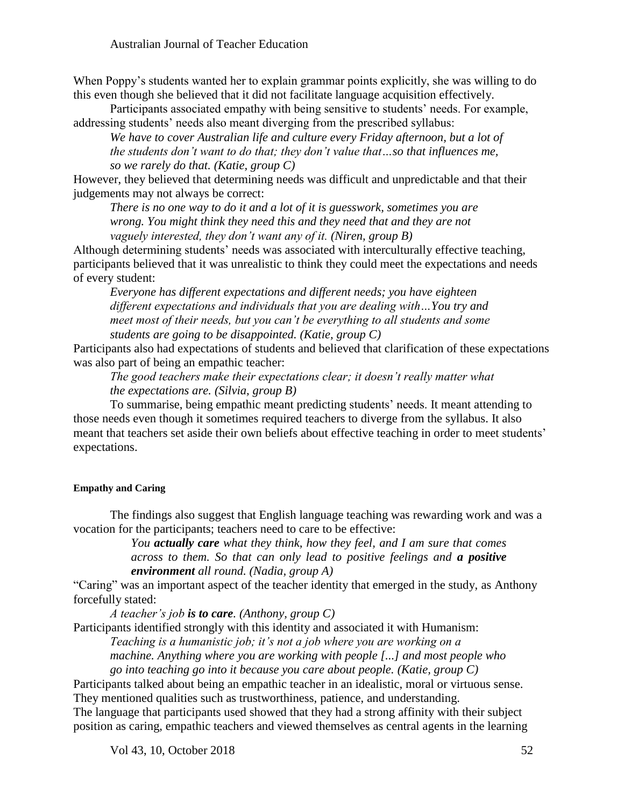When Poppy's students wanted her to explain grammar points explicitly, she was willing to do this even though she believed that it did not facilitate language acquisition effectively.

Participants associated empathy with being sensitive to students' needs. For example, addressing students' needs also meant diverging from the prescribed syllabus:

*We have to cover Australian life and culture every Friday afternoon, but a lot of the students don't want to do that; they don't value that…so that influences me, so we rarely do that. (Katie, group C)*

However, they believed that determining needs was difficult and unpredictable and that their judgements may not always be correct:

*There is no one way to do it and a lot of it is guesswork, sometimes you are wrong. You might think they need this and they need that and they are not vaguely interested, they don't want any of it. (Niren, group B)*

Although determining students' needs was associated with interculturally effective teaching, participants believed that it was unrealistic to think they could meet the expectations and needs of every student:

*Everyone has different expectations and different needs; you have eighteen different expectations and individuals that you are dealing with…You try and meet most of their needs, but you can't be everything to all students and some students are going to be disappointed. (Katie, group C)*

Participants also had expectations of students and believed that clarification of these expectations was also part of being an empathic teacher:

*The good teachers make their expectations clear; it doesn't really matter what the expectations are. (Silvia, group B)*

To summarise, being empathic meant predicting students' needs. It meant attending to those needs even though it sometimes required teachers to diverge from the syllabus. It also meant that teachers set aside their own beliefs about effective teaching in order to meet students' expectations.

#### **Empathy and Caring**

The findings also suggest that English language teaching was rewarding work and was a vocation for the participants; teachers need to care to be effective:

> *You actually care what they think, how they feel, and I am sure that comes across to them. So that can only lead to positive feelings and a positive environment all round. (Nadia, group A)*

"Caring" was an important aspect of the teacher identity that emerged in the study, as Anthony forcefully stated:

*A teacher's job is to care. (Anthony, group C)*

Participants identified strongly with this identity and associated it with Humanism:

*Teaching is a humanistic job; it's not a job where you are working on a machine. Anything where you are working with people [...] and most people who go into teaching go into it because you care about people. (Katie, group C)*

Participants talked about being an empathic teacher in an idealistic, moral or virtuous sense. They mentioned qualities such as trustworthiness, patience, and understanding.

The language that participants used showed that they had a strong affinity with their subject position as caring, empathic teachers and viewed themselves as central agents in the learning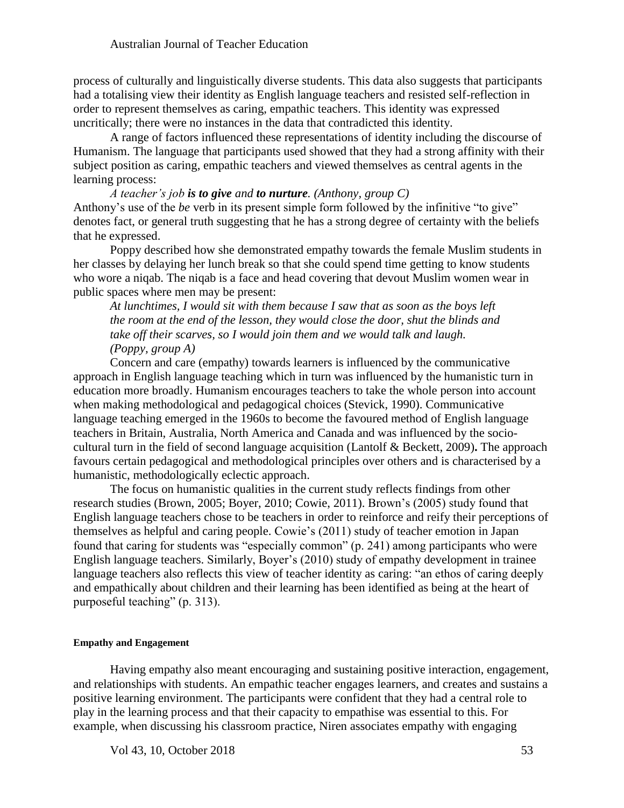process of culturally and linguistically diverse students. This data also suggests that participants had a totalising view their identity as English language teachers and resisted self-reflection in order to represent themselves as caring, empathic teachers. This identity was expressed uncritically; there were no instances in the data that contradicted this identity.

A range of factors influenced these representations of identity including the discourse of Humanism. The language that participants used showed that they had a strong affinity with their subject position as caring, empathic teachers and viewed themselves as central agents in the learning process:

## *A teacher's job is to give and to nurture. (Anthony, group C)* Anthony's use of the *be* verb in its present simple form followed by the infinitive "to give" denotes fact, or general truth suggesting that he has a strong degree of certainty with the beliefs that he expressed.

Poppy described how she demonstrated empathy towards the female Muslim students in her classes by delaying her lunch break so that she could spend time getting to know students who wore a niqab. The niqab is a face and head covering that devout Muslim women wear in public spaces where men may be present:

*At lunchtimes, I would sit with them because I saw that as soon as the boys left the room at the end of the lesson, they would close the door, shut the blinds and take off their scarves, so I would join them and we would talk and laugh. (Poppy, group A)*

Concern and care (empathy) towards learners is influenced by the communicative approach in English language teaching which in turn was influenced by the humanistic turn in education more broadly. Humanism encourages teachers to take the whole person into account when making methodological and pedagogical choices (Stevick, 1990). Communicative language teaching emerged in the 1960s to become the favoured method of English language teachers in Britain, Australia, North America and Canada and was influenced by the sociocultural turn in the field of second language acquisition (Lantolf & Beckett, 2009)**.** The approach favours certain pedagogical and methodological principles over others and is characterised by a humanistic, methodologically eclectic approach.

The focus on humanistic qualities in the current study reflects findings from other research studies (Brown, 2005; Boyer, 2010; Cowie, 2011). Brown's (2005) study found that English language teachers chose to be teachers in order to reinforce and reify their perceptions of themselves as helpful and caring people. Cowie's (2011) study of teacher emotion in Japan found that caring for students was "especially common" (p. 241) among participants who were English language teachers. Similarly, Boyer's (2010) study of empathy development in trainee language teachers also reflects this view of teacher identity as caring: "an ethos of caring deeply and empathically about children and their learning has been identified as being at the heart of purposeful teaching" (p. 313).

#### **Empathy and Engagement**

Having empathy also meant encouraging and sustaining positive interaction, engagement, and relationships with students. An empathic teacher engages learners, and creates and sustains a positive learning environment. The participants were confident that they had a central role to play in the learning process and that their capacity to empathise was essential to this. For example, when discussing his classroom practice, Niren associates empathy with engaging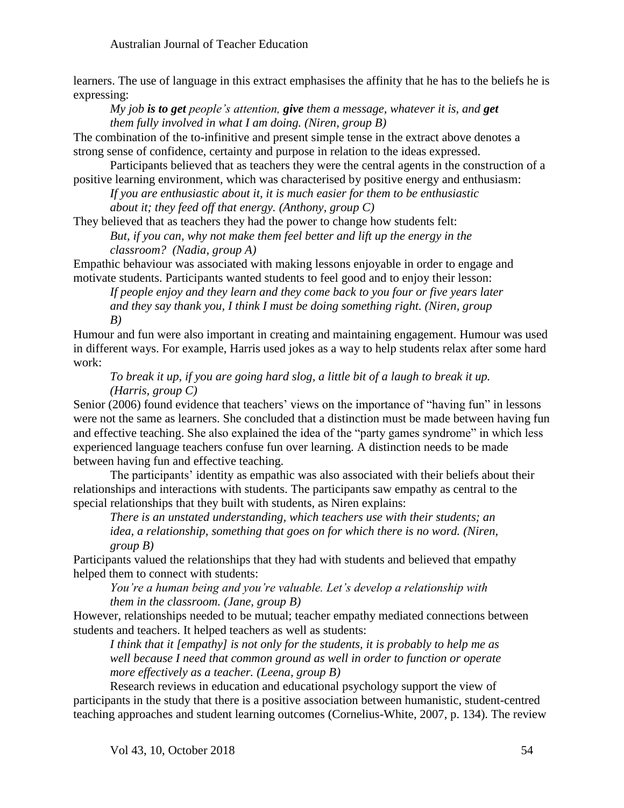learners. The use of language in this extract emphasises the affinity that he has to the beliefs he is expressing:

*My job is to get people's attention, give them a message, whatever it is, and get them fully involved in what I am doing. (Niren, group B)*

The combination of the to-infinitive and present simple tense in the extract above denotes a strong sense of confidence, certainty and purpose in relation to the ideas expressed.

Participants believed that as teachers they were the central agents in the construction of a positive learning environment, which was characterised by positive energy and enthusiasm:

*If you are enthusiastic about it, it is much easier for them to be enthusiastic about it; they feed off that energy. (Anthony, group C)*

They believed that as teachers they had the power to change how students felt:

*But, if you can, why not make them feel better and lift up the energy in the classroom? (Nadia, group A)*

Empathic behaviour was associated with making lessons enjoyable in order to engage and motivate students. Participants wanted students to feel good and to enjoy their lesson:

*If people enjoy and they learn and they come back to you four or five years later and they say thank you, I think I must be doing something right. (Niren, group B)*

Humour and fun were also important in creating and maintaining engagement. Humour was used in different ways. For example, Harris used jokes as a way to help students relax after some hard work:

*To break it up, if you are going hard slog, a little bit of a laugh to break it up. (Harris, group C)*

Senior (2006) found evidence that teachers' views on the importance of "having fun" in lessons were not the same as learners. She concluded that a distinction must be made between having fun and effective teaching. She also explained the idea of the "party games syndrome" in which less experienced language teachers confuse fun over learning. A distinction needs to be made between having fun and effective teaching.

The participants' identity as empathic was also associated with their beliefs about their relationships and interactions with students. The participants saw empathy as central to the special relationships that they built with students, as Niren explains:

*There is an unstated understanding, which teachers use with their students; an idea, a relationship, something that goes on for which there is no word. (Niren, group B)*

Participants valued the relationships that they had with students and believed that empathy helped them to connect with students:

*You're a human being and you're valuable. Let's develop a relationship with them in the classroom. (Jane, group B)*

However, relationships needed to be mutual; teacher empathy mediated connections between students and teachers. It helped teachers as well as students:

*I think that it [empathy] is not only for the students, it is probably to help me as well because I need that common ground as well in order to function or operate more effectively as a teacher. (Leena, group B)*

Research reviews in education and educational psychology support the view of participants in the study that there is a positive association between humanistic, student-centred teaching approaches and student learning outcomes (Cornelius-White, 2007, p. 134). The review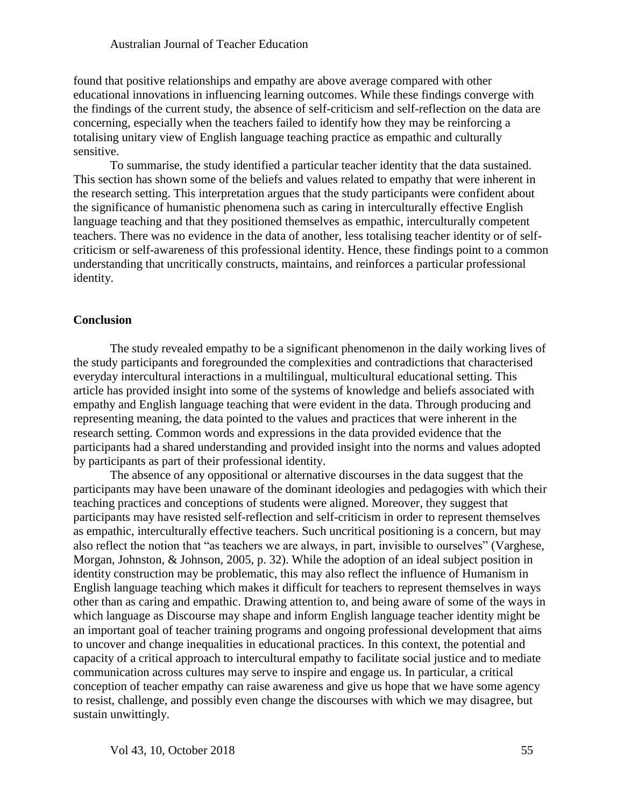found that positive relationships and empathy are above average compared with other educational innovations in influencing learning outcomes. While these findings converge with the findings of the current study, the absence of self-criticism and self-reflection on the data are concerning, especially when the teachers failed to identify how they may be reinforcing a totalising unitary view of English language teaching practice as empathic and culturally sensitive.

To summarise, the study identified a particular teacher identity that the data sustained. This section has shown some of the beliefs and values related to empathy that were inherent in the research setting. This interpretation argues that the study participants were confident about the significance of humanistic phenomena such as caring in interculturally effective English language teaching and that they positioned themselves as empathic, interculturally competent teachers. There was no evidence in the data of another, less totalising teacher identity or of selfcriticism or self-awareness of this professional identity. Hence, these findings point to a common understanding that uncritically constructs, maintains, and reinforces a particular professional identity.

## **Conclusion**

The study revealed empathy to be a significant phenomenon in the daily working lives of the study participants and foregrounded the complexities and contradictions that characterised everyday intercultural interactions in a multilingual, multicultural educational setting. This article has provided insight into some of the systems of knowledge and beliefs associated with empathy and English language teaching that were evident in the data. Through producing and representing meaning, the data pointed to the values and practices that were inherent in the research setting. Common words and expressions in the data provided evidence that the participants had a shared understanding and provided insight into the norms and values adopted by participants as part of their professional identity.

The absence of any oppositional or alternative discourses in the data suggest that the participants may have been unaware of the dominant ideologies and pedagogies with which their teaching practices and conceptions of students were aligned. Moreover, they suggest that participants may have resisted self-reflection and self-criticism in order to represent themselves as empathic, interculturally effective teachers. Such uncritical positioning is a concern, but may also reflect the notion that "as teachers we are always, in part, invisible to ourselves" (Varghese, Morgan, Johnston, & Johnson, 2005, p. 32). While the adoption of an ideal subject position in identity construction may be problematic, this may also reflect the influence of Humanism in English language teaching which makes it difficult for teachers to represent themselves in ways other than as caring and empathic. Drawing attention to, and being aware of some of the ways in which language as Discourse may shape and inform English language teacher identity might be an important goal of teacher training programs and ongoing professional development that aims to uncover and change inequalities in educational practices. In this context, the potential and capacity of a critical approach to intercultural empathy to facilitate social justice and to mediate communication across cultures may serve to inspire and engage us. In particular, a critical conception of teacher empathy can raise awareness and give us hope that we have some agency to resist, challenge, and possibly even change the discourses with which we may disagree, but sustain unwittingly.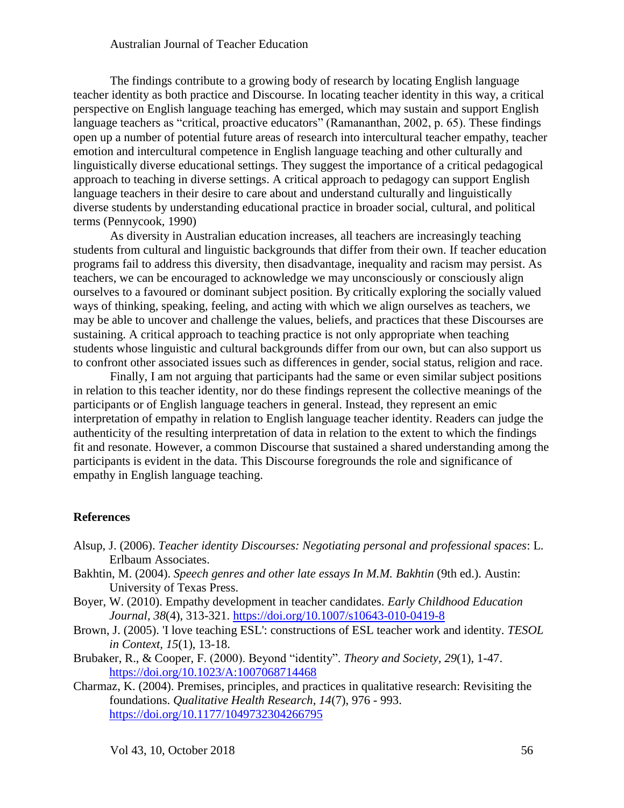The findings contribute to a growing body of research by locating English language teacher identity as both practice and Discourse. In locating teacher identity in this way, a critical perspective on English language teaching has emerged, which may sustain and support English language teachers as "critical, proactive educators" (Ramananthan, 2002, p. 65). These findings open up a number of potential future areas of research into intercultural teacher empathy, teacher emotion and intercultural competence in English language teaching and other culturally and linguistically diverse educational settings. They suggest the importance of a critical pedagogical approach to teaching in diverse settings. A critical approach to pedagogy can support English language teachers in their desire to care about and understand culturally and linguistically diverse students by understanding educational practice in broader social, cultural, and political terms (Pennycook, 1990)

As diversity in Australian education increases, all teachers are increasingly teaching students from cultural and linguistic backgrounds that differ from their own. If teacher education programs fail to address this diversity, then disadvantage, inequality and racism may persist. As teachers, we can be encouraged to acknowledge we may unconsciously or consciously align ourselves to a favoured or dominant subject position. By critically exploring the socially valued ways of thinking, speaking, feeling, and acting with which we align ourselves as teachers, we may be able to uncover and challenge the values, beliefs, and practices that these Discourses are sustaining. A critical approach to teaching practice is not only appropriate when teaching students whose linguistic and cultural backgrounds differ from our own, but can also support us to confront other associated issues such as differences in gender, social status, religion and race.

Finally, I am not arguing that participants had the same or even similar subject positions in relation to this teacher identity, nor do these findings represent the collective meanings of the participants or of English language teachers in general. Instead, they represent an emic interpretation of empathy in relation to English language teacher identity. Readers can judge the authenticity of the resulting interpretation of data in relation to the extent to which the findings fit and resonate. However, a common Discourse that sustained a shared understanding among the participants is evident in the data. This Discourse foregrounds the role and significance of empathy in English language teaching.

#### **References**

- Alsup, J. (2006). *Teacher identity Discourses: Negotiating personal and professional spaces*: L. Erlbaum Associates.
- Bakhtin, M. (2004). *Speech genres and other late essays In M.M. Bakhtin* (9th ed.). Austin: University of Texas Press.
- Boyer, W. (2010). Empathy development in teacher candidates. *Early Childhood Education Journal, 38*(4), 313-321.<https://doi.org/10.1007/s10643-010-0419-8>
- Brown, J. (2005). 'I love teaching ESL': constructions of ESL teacher work and identity. *TESOL in Context, 15*(1), 13-18.
- Brubaker, R., & Cooper, F. (2000). Beyond "identity". *Theory and Society, 29*(1), 1-47. <https://doi.org/10.1023/A:1007068714468>
- Charmaz, K. (2004). Premises, principles, and practices in qualitative research: Revisiting the foundations. *Qualitative Health Research, 14*(7), 976 - 993. <https://doi.org/10.1177/1049732304266795>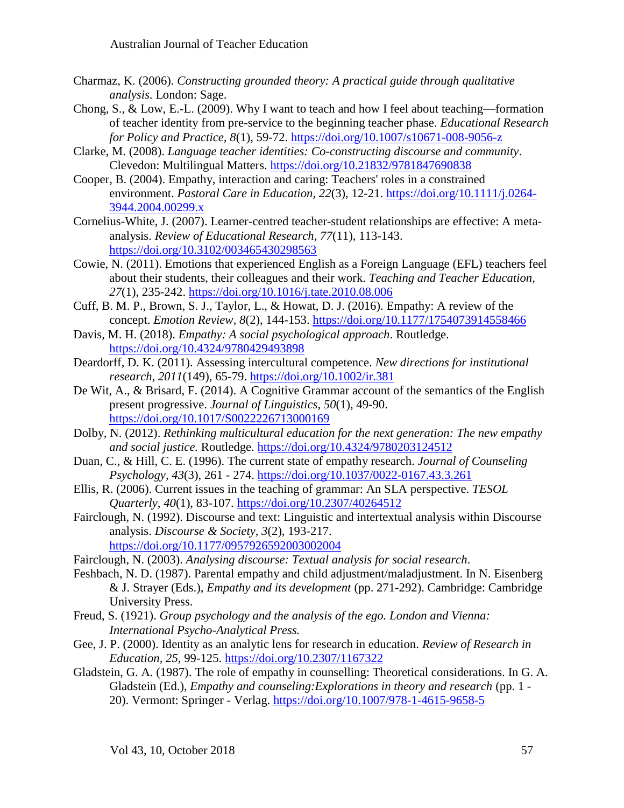- Charmaz, K. (2006). *Constructing grounded theory: A practical guide through qualitative analysis*. London: Sage.
- Chong, S., & Low, E.-L. (2009). Why I want to teach and how I feel about teaching—formation of teacher identity from pre-service to the beginning teacher phase. *Educational Research for Policy and Practice, 8*(1), 59-72.<https://doi.org/10.1007/s10671-008-9056-z>
- Clarke, M. (2008). *Language teacher identities: Co-constructing discourse and community*. Clevedon: Multilingual Matters. <https://doi.org/10.21832/9781847690838>
- Cooper, B. (2004). Empathy, interaction and caring: Teachers' roles in a constrained environment. *Pastoral Care in Education, 22*(3), 12-21. [https://doi.org/10.1111/j.0264-](https://doi.org/10.1111/j.0264-3944.2004.00299.x) [3944.2004.00299.x](https://doi.org/10.1111/j.0264-3944.2004.00299.x)
- Cornelius-White, J. (2007). Learner-centred teacher-student relationships are effective: A metaanalysis. *Review of Educational Research, 77*(11), 113-143. <https://doi.org/10.3102/003465430298563>
- Cowie, N. (2011). Emotions that experienced English as a Foreign Language (EFL) teachers feel about their students, their colleagues and their work. *Teaching and Teacher Education, 27*(1), 235-242.<https://doi.org/10.1016/j.tate.2010.08.006>
- Cuff, B. M. P., Brown, S. J., Taylor, L., & Howat, D. J. (2016). Empathy: A review of the concept. *Emotion Review, 8*(2), 144-153.<https://doi.org/10.1177/1754073914558466>
- Davis, M. H. (2018). *Empathy: A social psychological approach*. Routledge. <https://doi.org/10.4324/9780429493898>
- Deardorff, D. K. (2011). Assessing intercultural competence. *New directions for institutional research, 2011*(149), 65-79. <https://doi.org/10.1002/ir.381>
- De Wit, A., & Brisard, F. (2014). A Cognitive Grammar account of the semantics of the English present progressive. *Journal of Linguistics*, *50*(1), 49-90. <https://doi.org/10.1017/S0022226713000169>
- Dolby, N. (2012). *Rethinking multicultural education for the next generation: The new empathy and social justice.* Routledge. <https://doi.org/10.4324/9780203124512>
- Duan, C., & Hill, C. E. (1996). The current state of empathy research. *Journal of Counseling Psychology, 43*(3), 261 - 274. <https://doi.org/10.1037/0022-0167.43.3.261>
- Ellis, R. (2006). Current issues in the teaching of grammar: An SLA perspective. *TESOL Quarterly, 40*(1), 83-107.<https://doi.org/10.2307/40264512>
- Fairclough, N. (1992). Discourse and text: Linguistic and intertextual analysis within Discourse analysis. *Discourse & Society, 3*(2), 193-217. <https://doi.org/10.1177/0957926592003002004>
- Fairclough, N. (2003). *Analysing discourse: Textual analysis for social research*.
- Feshbach, N. D. (1987). Parental empathy and child adjustment/maladjustment. In N. Eisenberg & J. Strayer (Eds.), *Empathy and its development* (pp. 271-292). Cambridge: Cambridge University Press.
- Freud, S. (1921). *Group psychology and the analysis of the ego. London and Vienna: International Psycho-Analytical Press.*
- Gee, J. P. (2000). Identity as an analytic lens for research in education. *Review of Research in Education, 25*, 99-125.<https://doi.org/10.2307/1167322>
- Gladstein, G. A. (1987). The role of empathy in counselling: Theoretical considerations. In G. A. Gladstein (Ed.), *Empathy and counseling:Explorations in theory and research* (pp. 1 - 20). Vermont: Springer - Verlag. <https://doi.org/10.1007/978-1-4615-9658-5>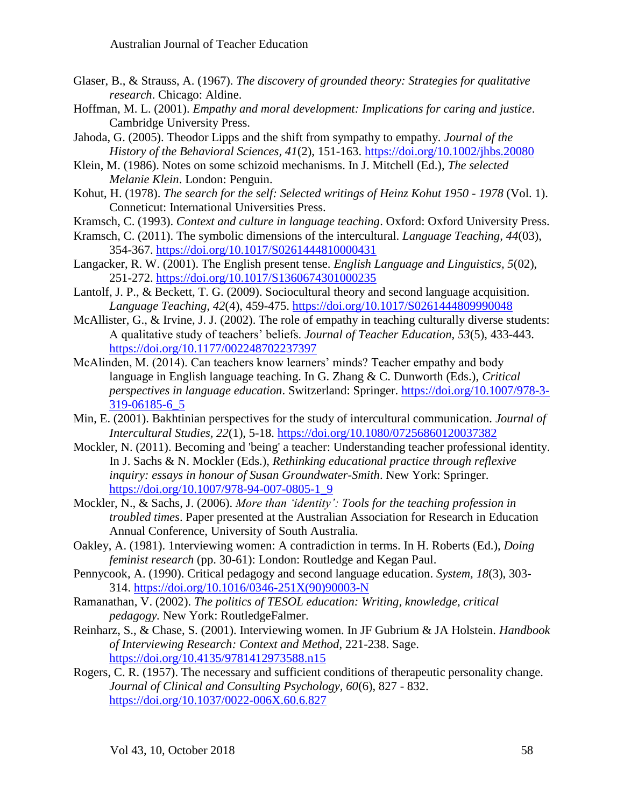- Glaser, B., & Strauss, A. (1967). *The discovery of grounded theory: Strategies for qualitative research*. Chicago: Aldine.
- Hoffman, M. L. (2001). *Empathy and moral development: Implications for caring and justice*. Cambridge University Press.
- Jahoda, G. (2005). Theodor Lipps and the shift from sympathy to empathy. *Journal of the History of the Behavioral Sciences, 41*(2), 151-163. <https://doi.org/10.1002/jhbs.20080>
- Klein, M. (1986). Notes on some schizoid mechanisms. In J. Mitchell (Ed.), *The selected Melanie Klein*. London: Penguin.
- Kohut, H. (1978). *The search for the self: Selected writings of Heinz Kohut 1950 - 1978* (Vol. 1). Conneticut: International Universities Press.
- Kramsch, C. (1993). *Context and culture in language teaching*. Oxford: Oxford University Press.
- Kramsch, C. (2011). The symbolic dimensions of the intercultural. *Language Teaching, 44*(03), 354-367. <https://doi.org/10.1017/S0261444810000431>
- Langacker, R. W. (2001). The English present tense. *English Language and Linguistics, 5*(02), 251-272.<https://doi.org/10.1017/S1360674301000235>
- Lantolf, J. P., & Beckett, T. G. (2009). Sociocultural theory and second language acquisition. *Language Teaching, 42*(4), 459-475.<https://doi.org/10.1017/S0261444809990048>
- McAllister, G., & Irvine, J. J. (2002). The role of empathy in teaching culturally diverse students: A qualitative study of teachers' beliefs. *Journal of Teacher Education, 53*(5), 433-443. <https://doi.org/10.1177/002248702237397>
- McAlinden, M. (2014). Can teachers know learners' minds? Teacher empathy and body language in English language teaching. In G. Zhang & C. Dunworth (Eds.), *Critical perspectives in language education*. Switzerland: Springer. [https://doi.org/10.1007/978-3-](https://doi.org/10.1007/978-3-319-06185-6_5) [319-06185-6\\_5](https://doi.org/10.1007/978-3-319-06185-6_5)
- Min, E. (2001). Bakhtinian perspectives for the study of intercultural communication. *Journal of Intercultural Studies, 22*(1), 5-18. <https://doi.org/10.1080/07256860120037382>
- Mockler, N. (2011). Becoming and 'being' a teacher: Understanding teacher professional identity. In J. Sachs & N. Mockler (Eds.), *Rethinking educational practice through reflexive inquiry: essays in honour of Susan Groundwater-Smith*. New York: Springer. [https://doi.org/10.1007/978-94-007-0805-1\\_9](https://doi.org/10.1007/978-94-007-0805-1_9)
- Mockler, N., & Sachs, J. (2006). *More than 'identity': Tools for the teaching profession in troubled times*. Paper presented at the Australian Association for Research in Education Annual Conference, University of South Australia.
- Oakley, A. (1981). 1nterviewing women: A contradiction in terms. In H. Roberts (Ed.), *Doing feminist research* (pp. 30-61): London: Routledge and Kegan Paul.
- Pennycook, A. (1990). Critical pedagogy and second language education. *System, 18*(3), 303- 314. [https://doi.org/10.1016/0346-251X\(90\)90003-N](https://doi.org/10.1016/0346-251X%2890%2990003-N)
- Ramanathan, V. (2002). *The politics of TESOL education: Writing, knowledge, critical pedagogy.* New York: RoutledgeFalmer.
- Reinharz, S., & Chase, S. (2001). Interviewing women. In JF Gubrium & JA Holstein. *Handbook of Interviewing Research: Context and Method*, 221-238. Sage. <https://doi.org/10.4135/9781412973588.n15>
- Rogers, C. R. (1957). The necessary and sufficient conditions of therapeutic personality change. *Journal of Clinical and Consulting Psychology, 60*(6), 827 - 832. <https://doi.org/10.1037/0022-006X.60.6.827>